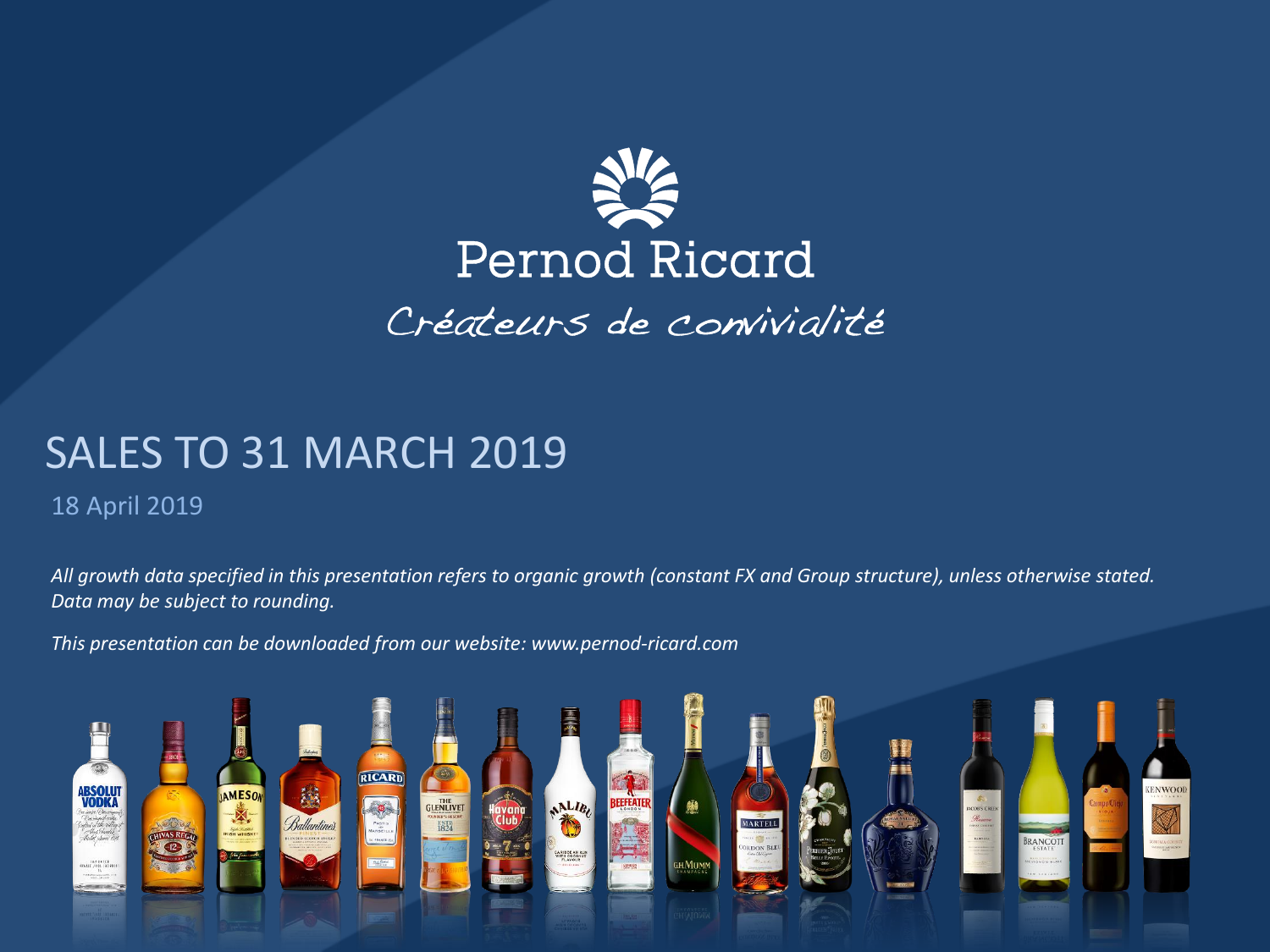

## SALES TO 31 MARCH 2019

18 April 2019

*All growth data specified in this presentation refers to organic growth (constant FX and Group structure), unless otherwise stated. Data may be subject to rounding.*

*This presentation can be downloaded from our website: www.pernod-ricard.com*

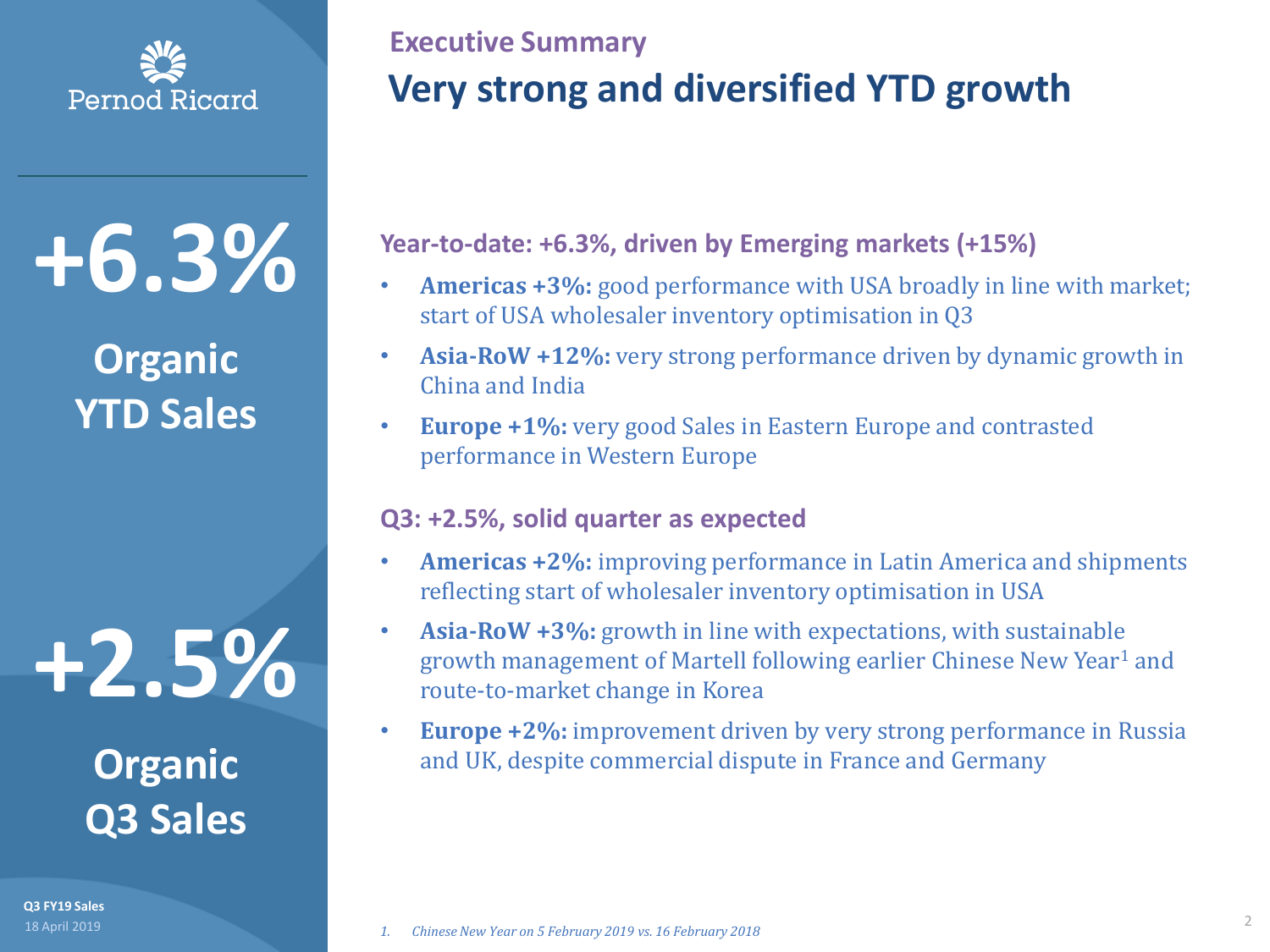

**+6.3%**

**Organic YTD Sales**

**+2.5%**

**Organic Q3 Sales**

18 April 2019 **Q3 FY19 Sales**

## **Very strong and diversified YTD growth Executive Summary**

#### **Year-to-date: +6.3%, driven by Emerging markets (+15%)**

- **Americas +3%:** good performance with USA broadly in line with market; start of USA wholesaler inventory optimisation in Q3
- **Asia-RoW +12%:** very strong performance driven by dynamic growth in China and India
- **Europe +1%:** very good Sales in Eastern Europe and contrasted performance in Western Europe

#### **Q3: +2.5%, solid quarter as expected**

- **Americas +2%:** improving performance in Latin America and shipments reflecting start of wholesaler inventory optimisation in USA
- **Asia-RoW +3%:** growth in line with expectations, with sustainable growth management of Martell following earlier Chinese New Year<sup>1</sup> and route-to-market change in Korea
- **Europe +2%:** improvement driven by very strong performance in Russia and UK, despite commercial dispute in France and Germany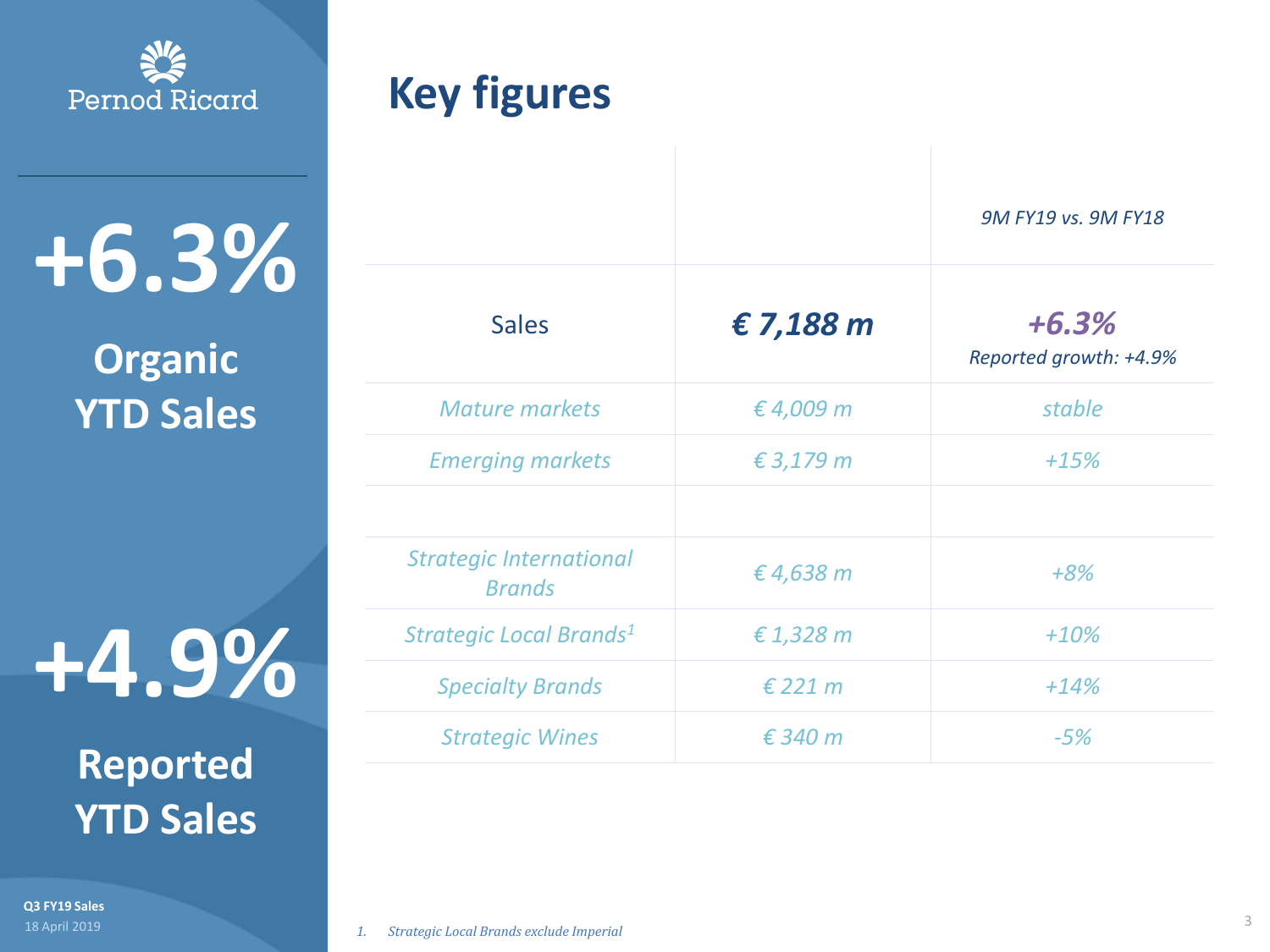

**+6.3%**

**Organic YTD Sales**

**+4.9%**

**Reported YTD Sales**

18 April 2019 **Q3 FY19 Sales**

## **Key figures**

|                                                 |                    | 9M FY19 vs. 9M FY18               |
|-------------------------------------------------|--------------------|-----------------------------------|
| <b>Sales</b>                                    | $\epsilon$ 7,188 m | $+6.3%$<br>Reported growth: +4.9% |
| <b>Mature markets</b>                           | €4,009 m           | stable                            |
| <b>Emerging markets</b>                         | $\epsilon$ 3,179 m | $+15%$                            |
| <b>Strategic International</b><br><b>Brands</b> | €4,638 m           | $+8%$                             |
| <b>Strategic Local Brands</b> <sup>1</sup>      | € 1,328 m          | $+10%$                            |
| <b>Specialty Brands</b>                         | $\epsilon$ 221 m   | $+14%$                            |
| <b>Strategic Wines</b>                          | € 340 m            | $-5%$                             |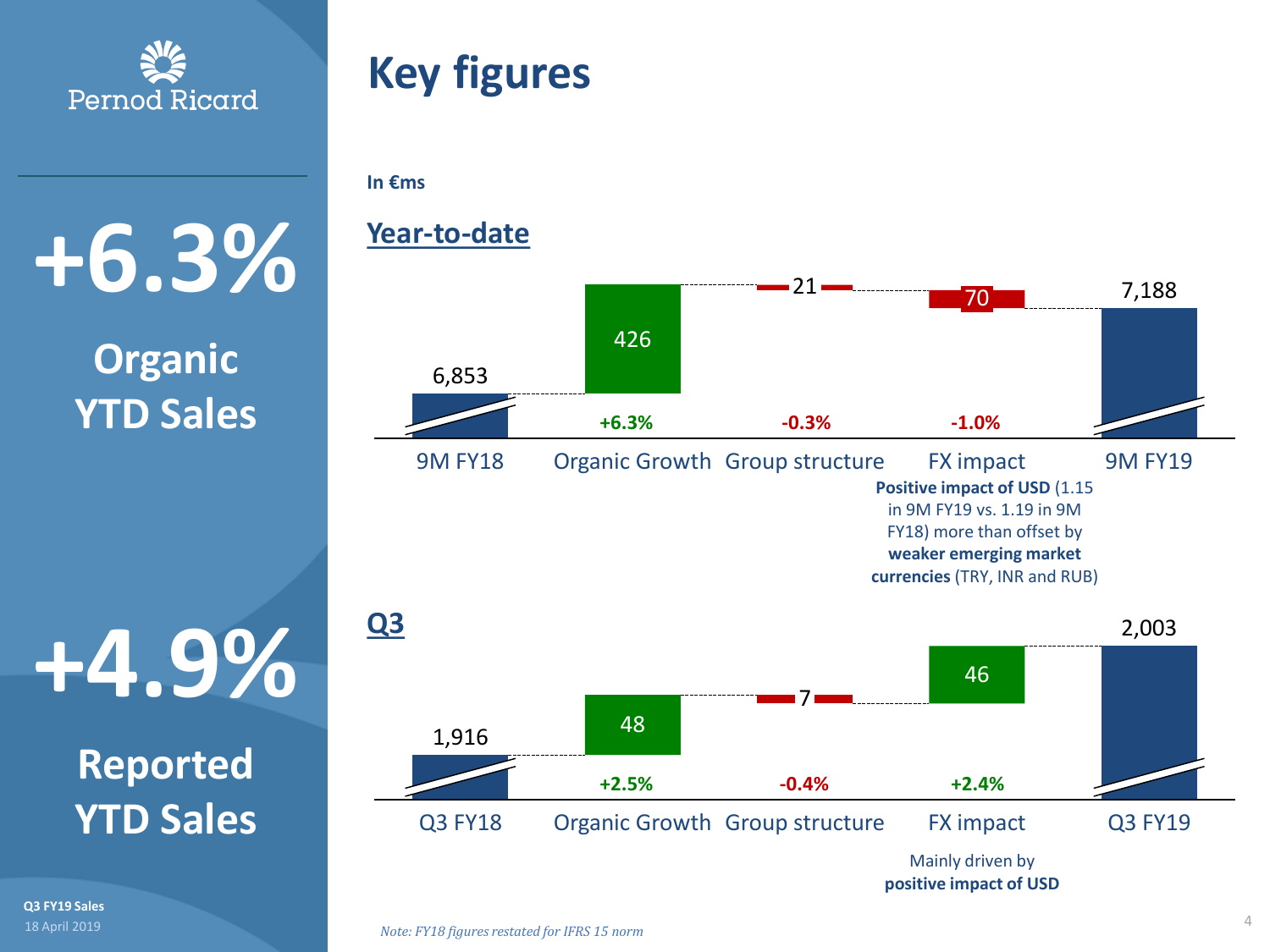

## **Key figures**

**In €ms**



**Organic YTD Sales**

**+4.9%**

**Reported YTD Sales**

18 April 2019 **Q3 FY19 Sales**

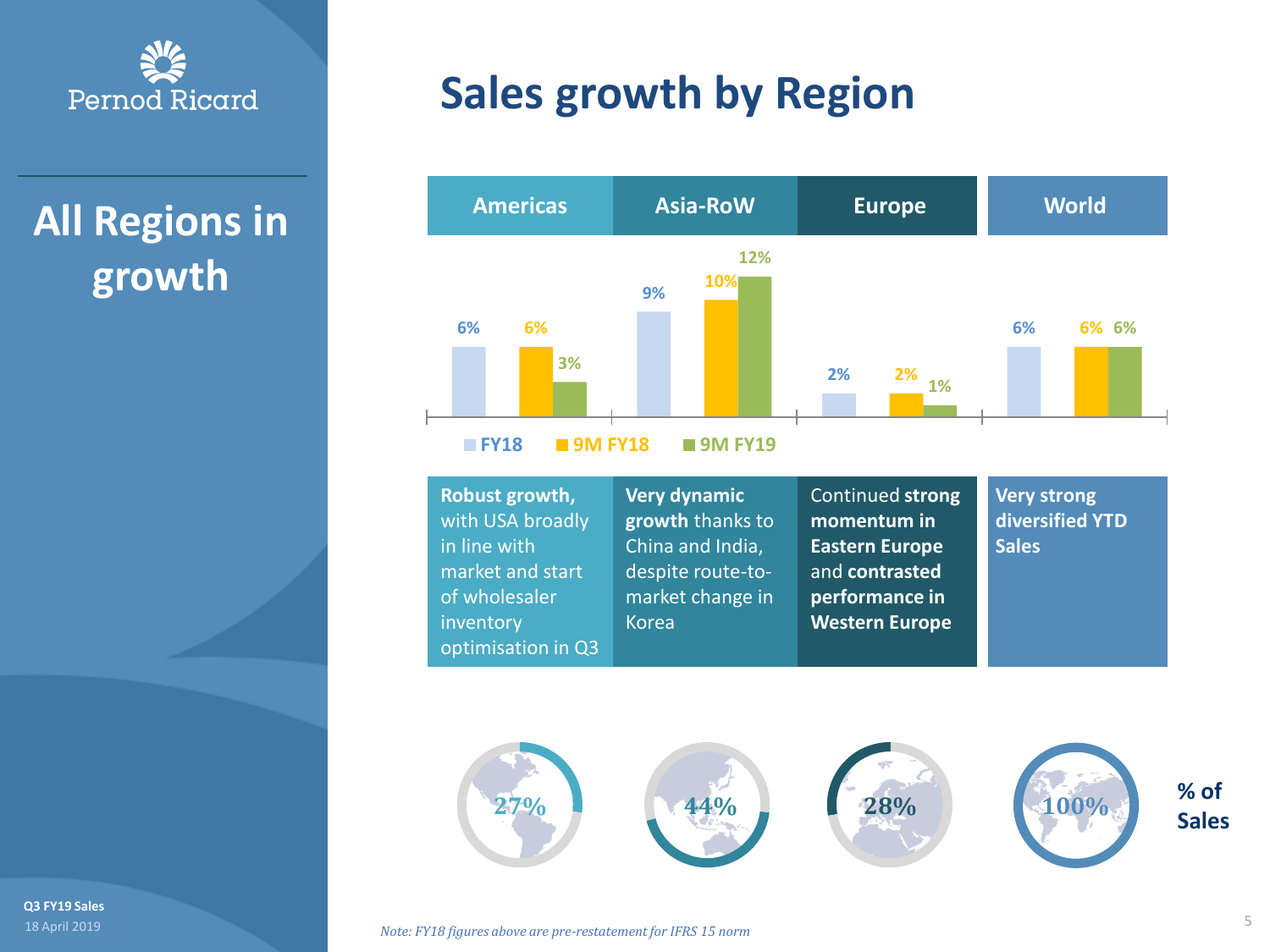

**All Regions in growth**

18 April 2019 **Q3 FY19 Sales** **Sales growth by Region**



**Robust growth,**  with USA broadly in line with market and start of wholesaler inventory optimisation in Q3 **Very dynamic growth** thanks to China and India, despite route-tomarket change in Korea Continued **strong momentum in Eastern Europe**  and **contrasted performance in Western Europe Very strong diversified YTD Sales**

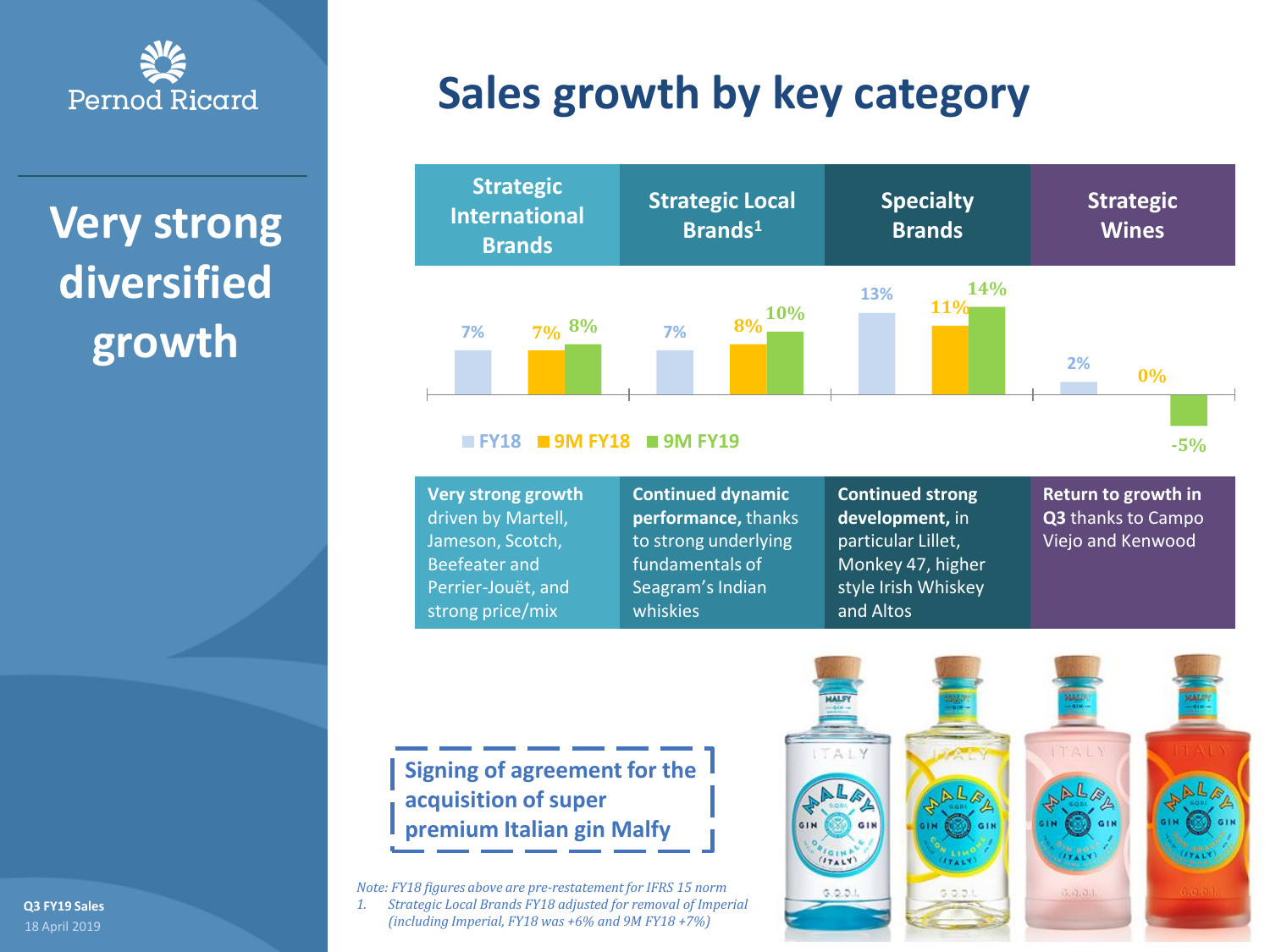

**Very strong diversified growth**

## **Sales growth by key category**



#### **FY18 9M FY18 9M FY19**

**Very strong growth**  driven by Martell, Jameson, Scotch, Beefeater and Perrier-Jouët, and strong price/mix

**Continued dynamic performance,** thanks to strong underlying fundamentals of Seagram's Indian whiskies

**Continued strong development,** in particular Lillet, Monkey 47, higher style Irish Whiskey and Altos

**Return to growth in Q3** thanks to Campo Viejo and Kenwood

**-5%**

#### **Signing of agreement for the acquisition of super premium Italian gin Malfy**

*Note: FY18 figures above are pre-restatement for IFRS 15 norm 1. Strategic Local Brands FY18 adjusted for removal of Imperial (including Imperial, FY18 was +6% and 9M FY18 +7%)*



18 April 2019 **Q3 FY19 Sales**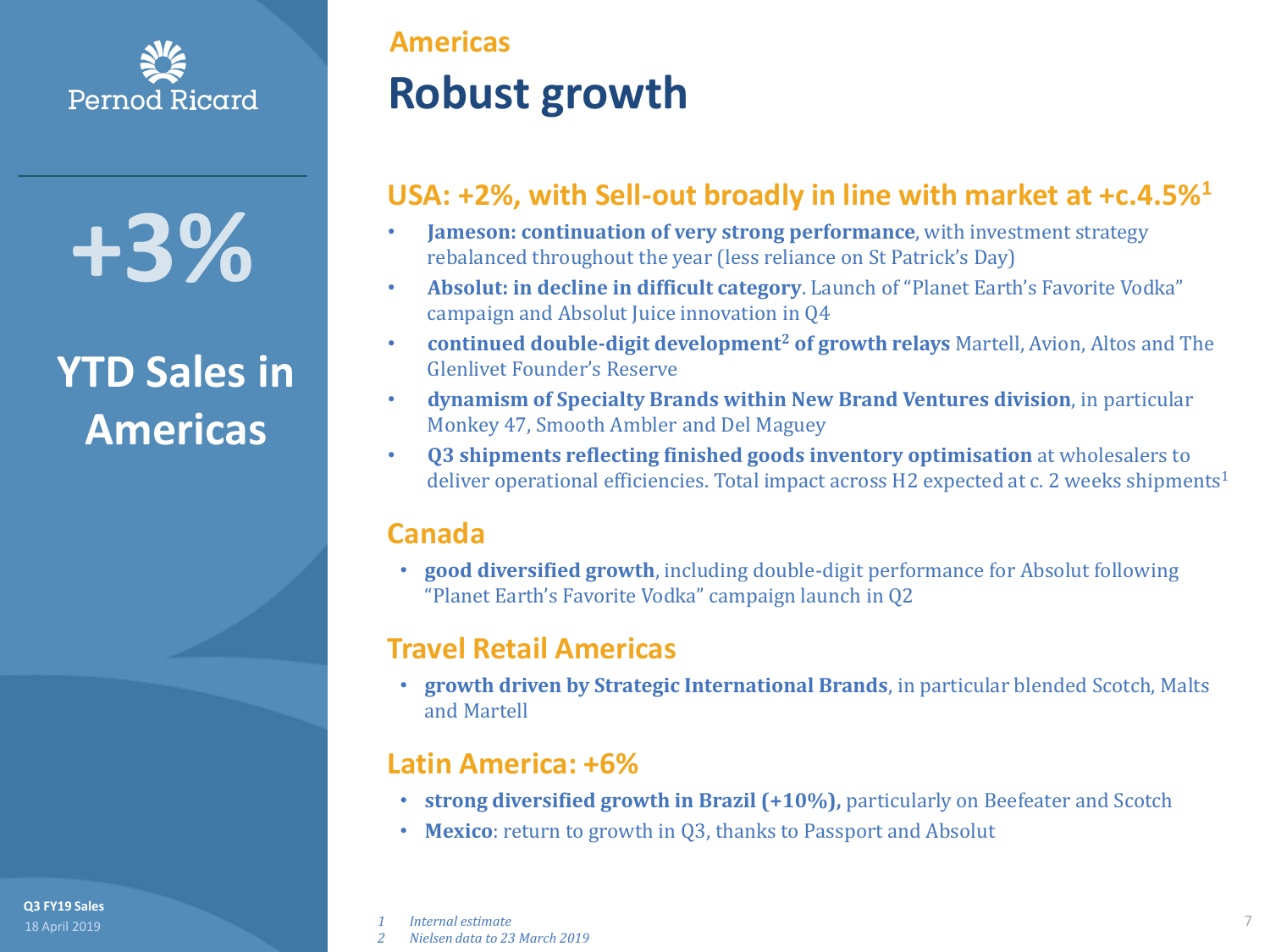

**+3%**

**YTD Sales in Americas**

18 April 2019 **Q3 FY19 Sales**

## **Robust growth Americas**

## **USA: +2%, with Sell-out broadly in line with market at +c.4.5%<sup>1</sup>**

- **Jameson: continuation of very strong performance**, with investment strategy rebalanced throughout the year (less reliance on St Patrick's Day)
- **Absolut: in decline in difficult category**. Launch of "Planet Earth's Favorite Vodka" campaign and Absolut Juice innovation in Q4
- **continued double-digit development<sup>2</sup> of growth relays** Martell, Avion, Altos and The Glenlivet Founder's Reserve
- **dynamism of Specialty Brands within New Brand Ventures division**, in particular Monkey 47, Smooth Ambler and Del Maguey
- **Q3 shipments reflecting finished goods inventory optimisation** at wholesalers to deliver operational efficiencies. Total impact across H2 expected at c. 2 weeks shipments<sup>1</sup>

## **Canada**

• **good diversified growth**, including double-digit performance for Absolut following "Planet Earth's Favorite Vodka" campaign launch in Q2

## **Travel Retail Americas**

• **growth driven by Strategic International Brands**, in particular blended Scotch, Malts and Martell

## **Latin America: +6%**

- **strong diversified growth in Brazil (+10%),** particularly on Beefeater and Scotch
- **Mexico**: return to growth in Q3, thanks to Passport and Absolut

*1 Internal estimate*

*2 Nielsen data to 23 March 2019*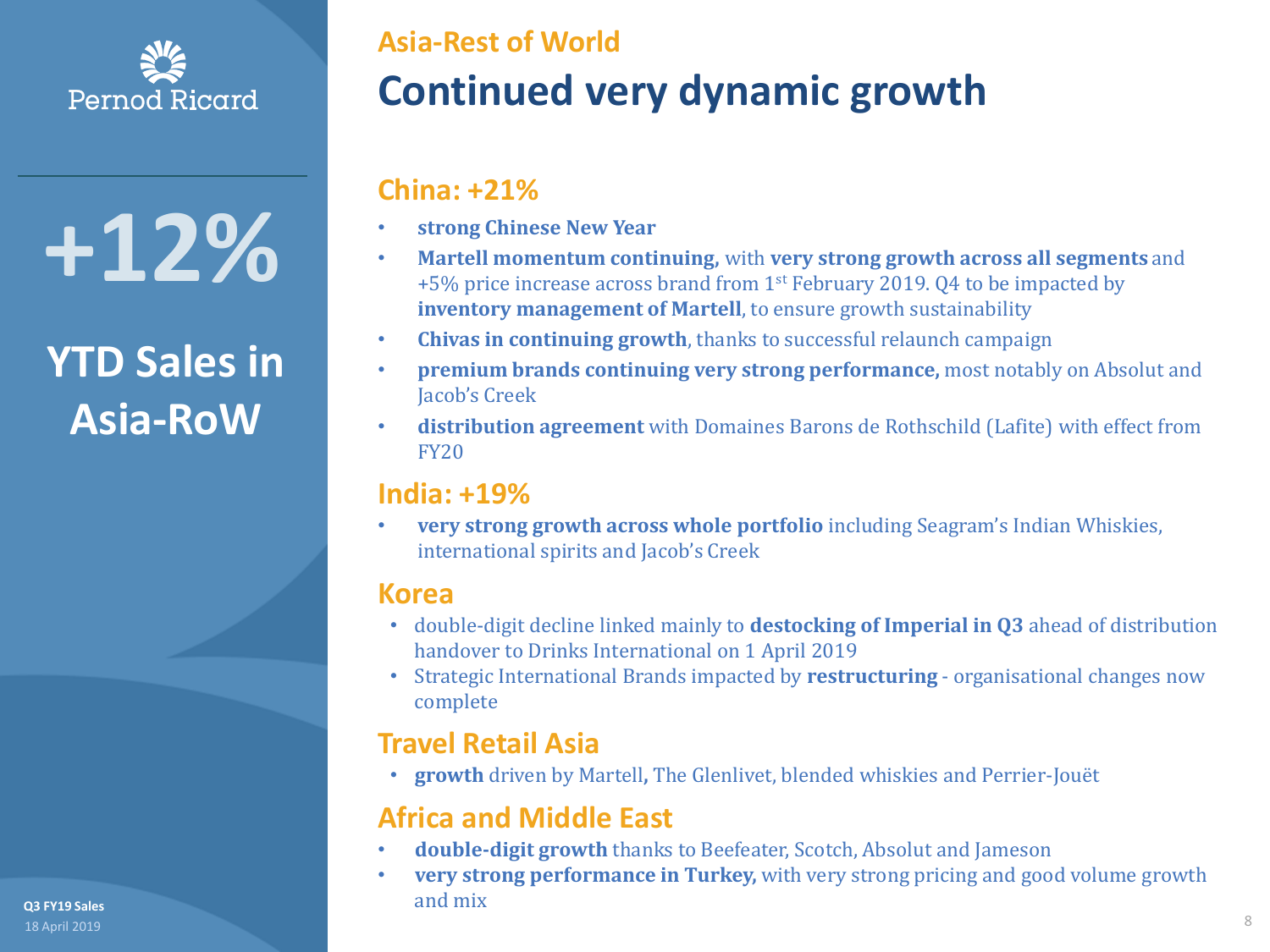

**+12%**

**YTD Sales in Asia-RoW**

18 April 2019 **Q3 FY19 Sales**

## **Continued very dynamic growth Asia-Rest of World**

## **China: +21%**

- **strong Chinese New Year**
- **Martell momentum continuing,** with **very strong growth across all segments** and +5% price increase across brand from 1st February 2019. Q4 to be impacted by **inventory management of Martell**, to ensure growth sustainability
- **Chivas in continuing growth**, thanks to successful relaunch campaign
- **premium brands continuing very strong performance,** most notably on Absolut and Jacob's Creek
- **distribution agreement** with Domaines Barons de Rothschild (Lafite) with effect from FY20

## **India: +19%**

• **very strong growth across whole portfolio** including Seagram's Indian Whiskies, international spirits and Jacob's Creek

## **Korea**

- double-digit decline linked mainly to **destocking of Imperial in Q3** ahead of distribution handover to Drinks International on 1 April 2019
- Strategic International Brands impacted by **restructuring**  organisational changes now complete

## **Travel Retail Asia**

• **growth** driven by Martell**,** The Glenlivet, blended whiskies and Perrier-Jouët

## **Africa and Middle East**

- **double-digit growth** thanks to Beefeater, Scotch, Absolut and Jameson
- **very strong performance in Turkey,** with very strong pricing and good volume growth and mix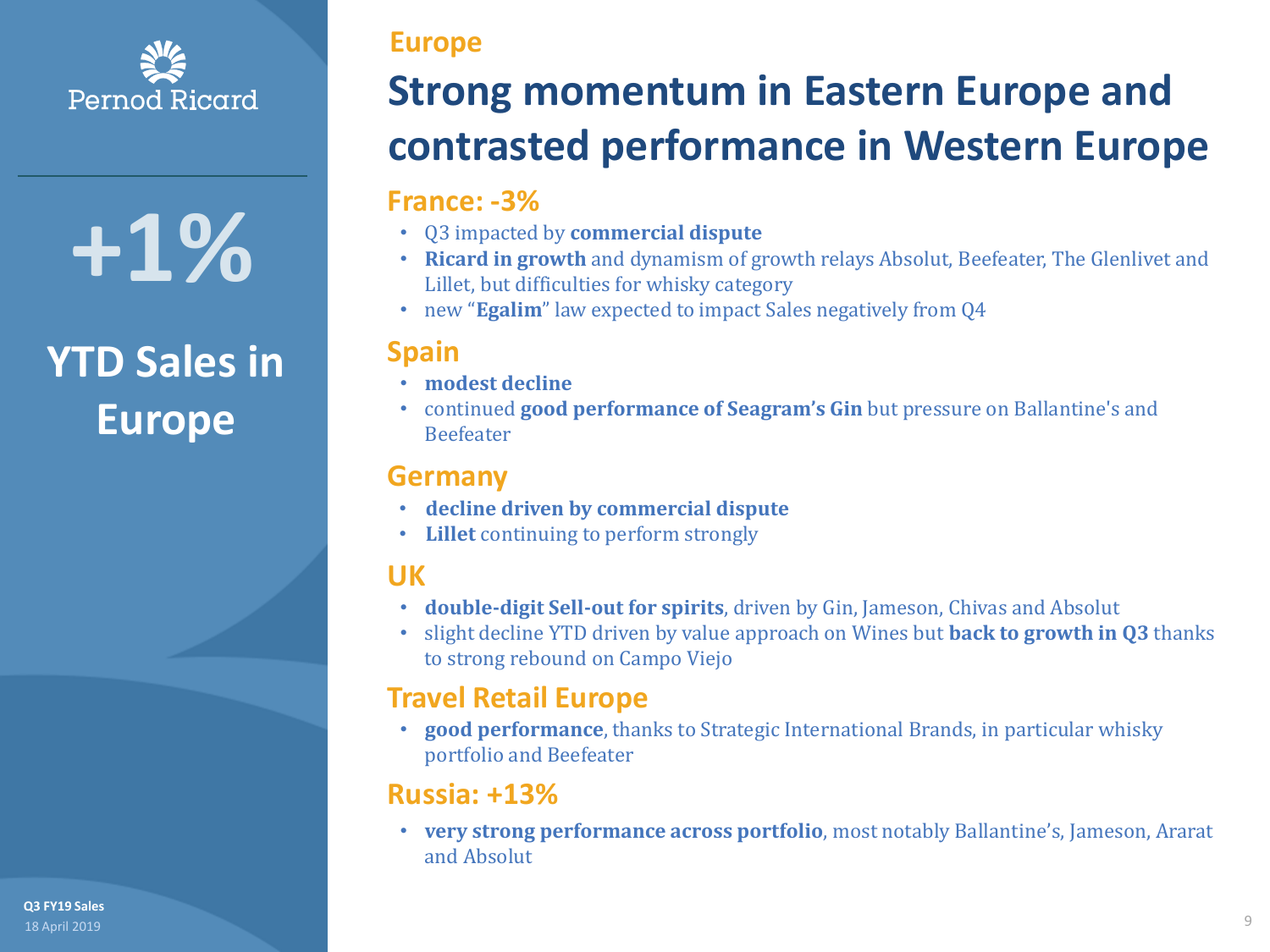

**+1%**

**YTD Sales in Europe**

**Europe**

## **Strong momentum in Eastern Europe and contrasted performance in Western Europe**

#### **France: -3%**

- Q3 impacted by **commercial dispute**
- **Ricard in growth** and dynamism of growth relays Absolut, Beefeater, The Glenlivet and Lillet, but difficulties for whisky category
- new "**Egalim**" law expected to impact Sales negatively from Q4

## **Spain**

- **modest decline**
- continued **good performance of Seagram's Gin** but pressure on Ballantine's and Beefeater

## **Germany**

- **decline driven by commercial dispute**
- **Lillet** continuing to perform strongly

## **UK**

- **double-digit Sell-out for spirits**, driven by Gin, Jameson, Chivas and Absolut
- slight decline YTD driven by value approach on Wines but **back to growth in Q3** thanks to strong rebound on Campo Viejo

## **Travel Retail Europe**

• **good performance**, thanks to Strategic International Brands, in particular whisky portfolio and Beefeater

#### **Russia: +13%**

• **very strong performance across portfolio**, most notably Ballantine's, Jameson, Ararat and Absolut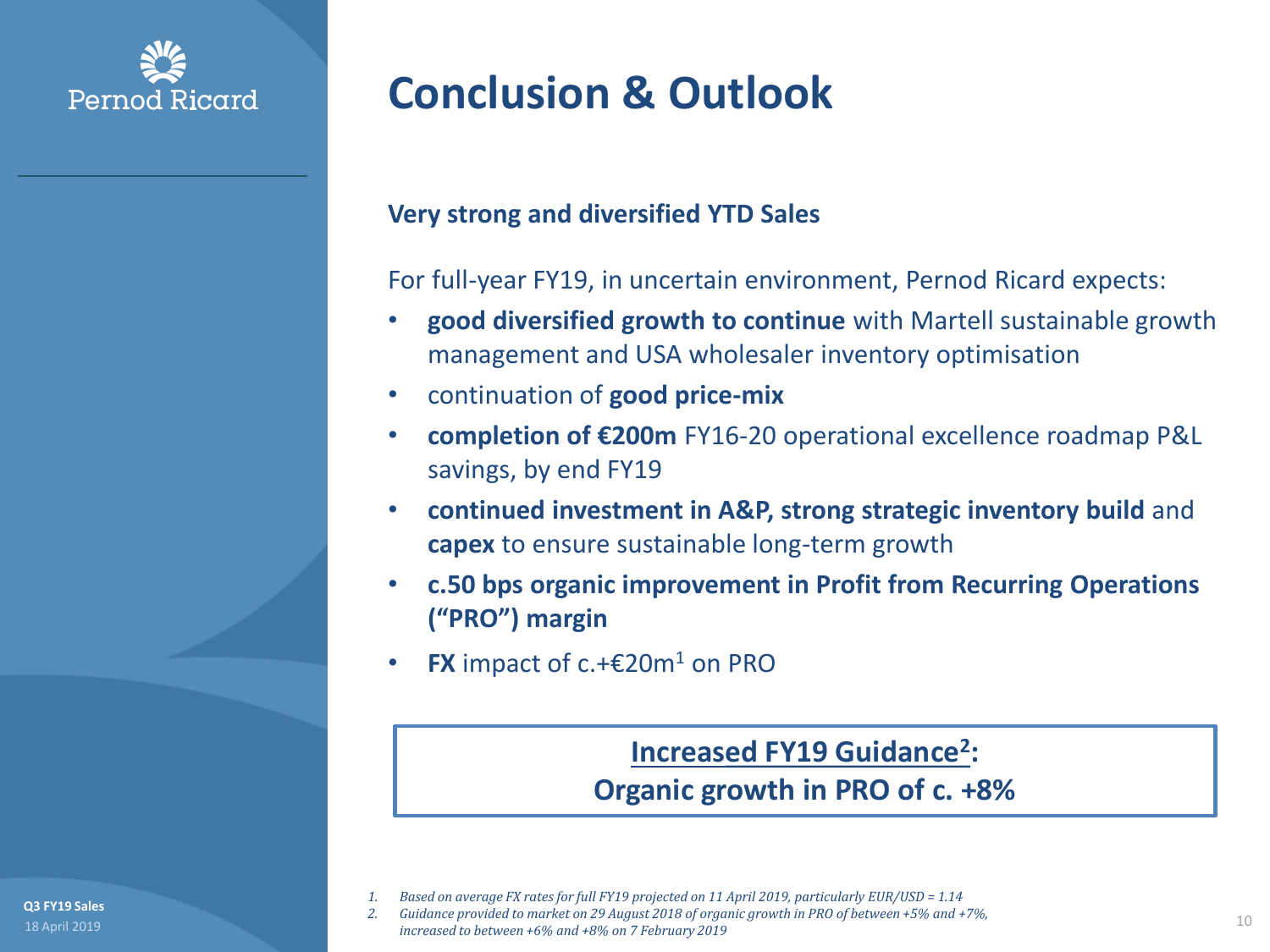## Pernod Ricard

## **Conclusion & Outlook**

#### **Very strong and diversified YTD Sales**

For full-year FY19, in uncertain environment, Pernod Ricard expects:

- **good diversified growth to continue** with Martell sustainable growth management and USA wholesaler inventory optimisation
- continuation of **good price-mix**
- **completion of €200m** FY16-20 operational excellence roadmap P&L savings, by end FY19
- **continued investment in A&P, strong strategic inventory build** and **capex** to ensure sustainable long-term growth
- **c.50 bps organic improvement in Profit from Recurring Operations ("PRO") margin**
- **FX** impact of c.+€20m<sup>1</sup> on PRO

## **Increased FY19 Guidance<sup>2</sup> :**

#### **Organic growth in PRO of c. +8%**

*1. Based on average FX rates for full FY19 projected on 11 April 2019, particularly EUR/USD = 1.14*

10 18 April 2019 *2. Guidance provided to market on 29 August 2018 of organic growth in PRO of between +5% and +7%, increased to between +6% and +8% on 7 February 2019*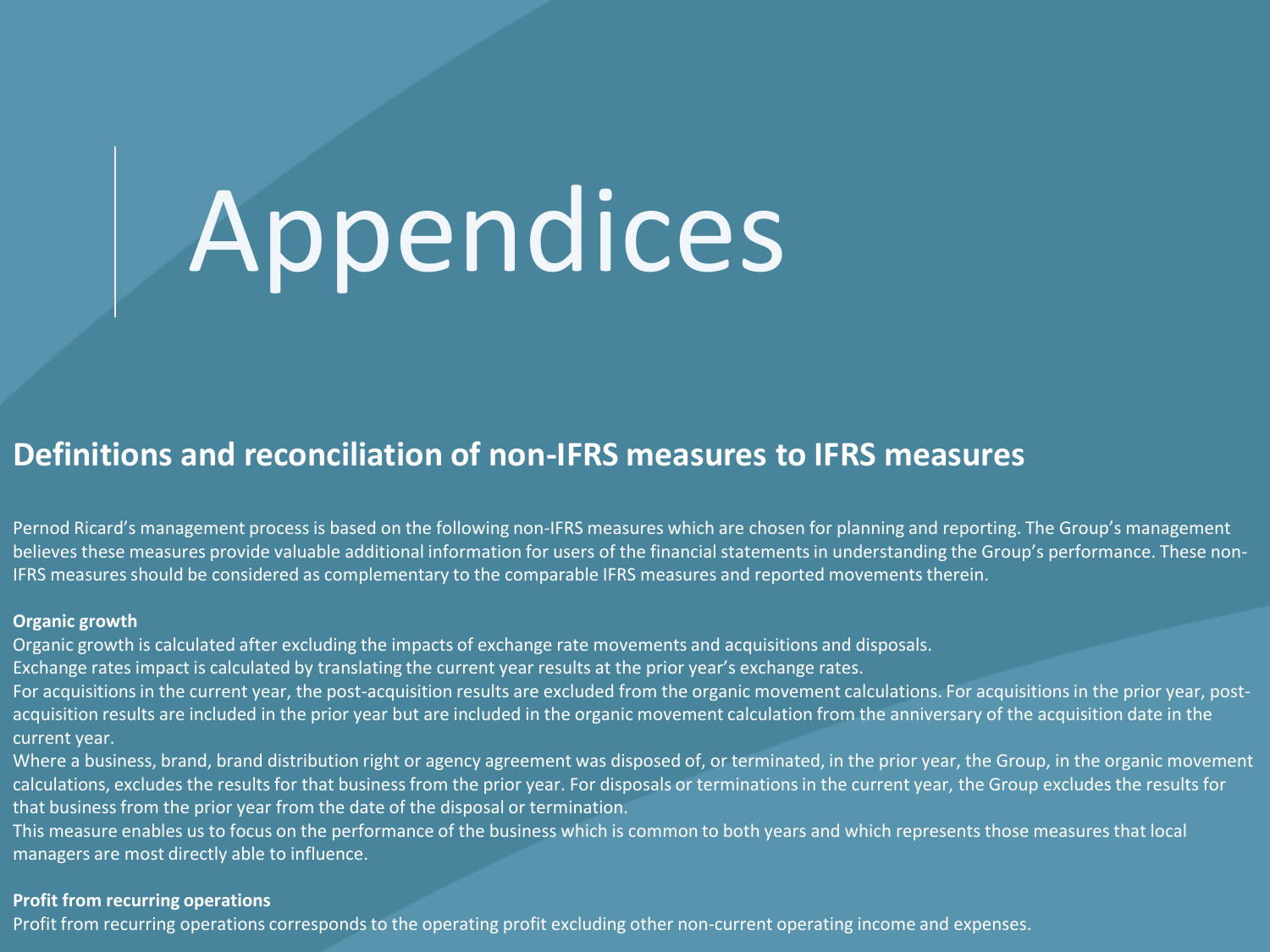# Appendices

## **Definitions and reconciliation of non-IFRS measures to IFRS measures**

Pernod Ricard's management process is based on the following non-IFRS measures which are chosen for planning and reporting. The Group's management believes these measures provide valuable additional information for users of the financial statements in understanding the Group's performance. These non-IFRS measures should be considered as complementary to the comparable IFRS measures and reported movements therein.

#### **Organic growth**

Organic growth is calculated after excluding the impacts of exchange rate movements and acquisitions and disposals.

Exchange rates impact is calculated by translating the current year results at the prior year's exchange rates.

For acquisitions in the current year, the post-acquisition results are excluded from the organic movement calculations. For acquisitions in the prior year, postacquisition results are included in the prior year but are included in the organic movement calculation from the anniversary of the acquisition date in the current year.

Where a business, brand, brand distribution right or agency agreement was disposed of, or terminated, in the prior year, the Group, in the organic movement calculations, excludes the results for that business from the prior year. For disposals or terminations in the current year, the Group excludes the results for that business from the prior year from the date of the disposal or termination.

This measure enables us to focus on the performance of the business which is common to both years and which represents those measures that local managers are most directly able to influence.

#### **Profit from recurring operations**

Profit from recurring operations corresponds to the operating profit excluding other non-current operating income and expenses.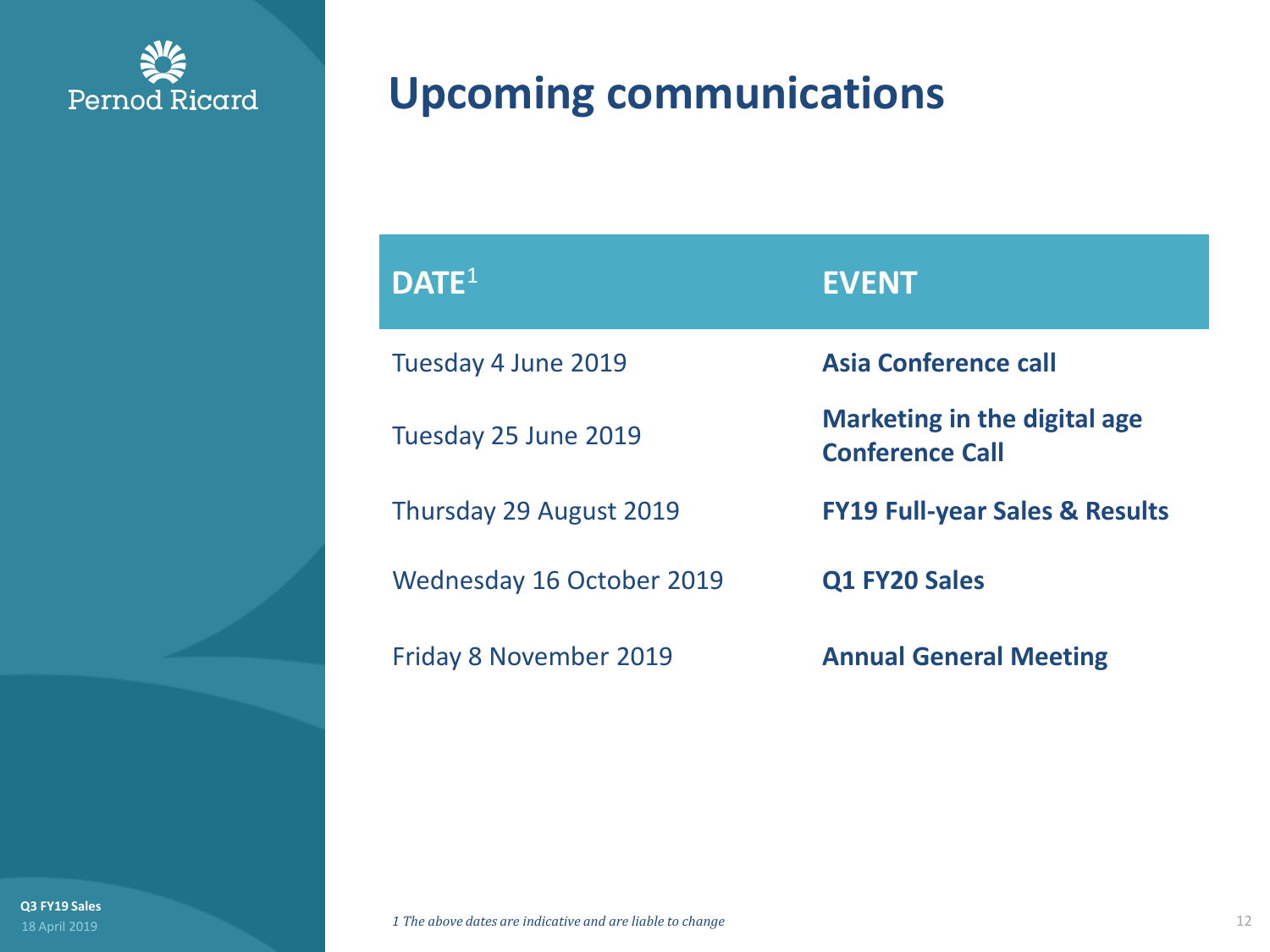

## **Upcoming communications**

| $\mathsf{DATE}^1$         | <b>EVENT</b>                                                  |
|---------------------------|---------------------------------------------------------------|
| Tuesday 4 June 2019       | Asia Conference call                                          |
| Tuesday 25 June 2019      | <b>Marketing in the digital age</b><br><b>Conference Call</b> |
| Thursday 29 August 2019   | <b>FY19 Full-year Sales &amp; Results</b>                     |
| Wednesday 16 October 2019 | Q1 FY20 Sales                                                 |
| Friday 8 November 2019    | <b>Annual General Meeting</b>                                 |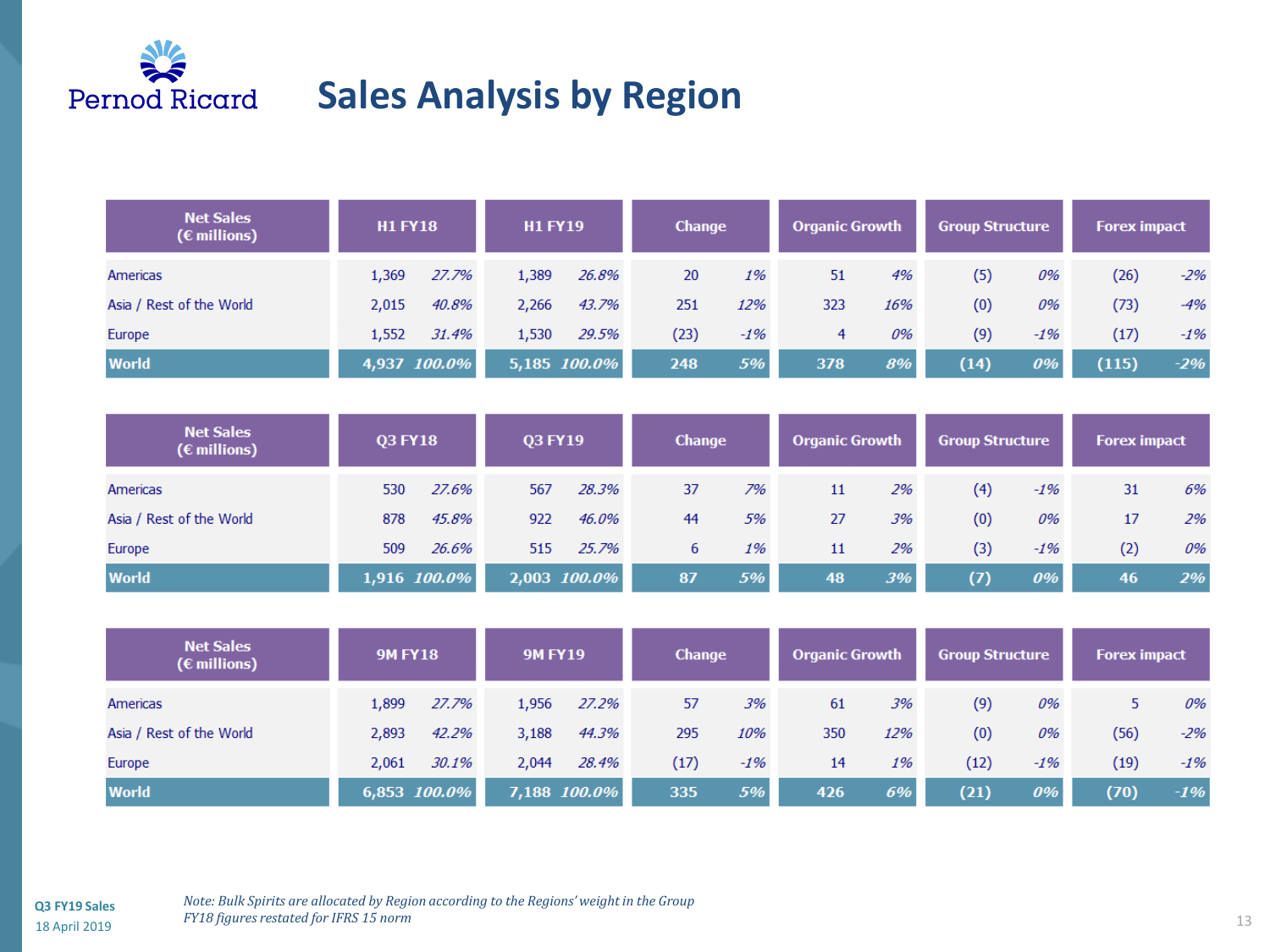

| <b>Net Sales</b><br>$(E$ millions) | <b>H1 FY18</b> |              | <b>H1 FY19</b> |              | <b>Change</b> |        | <b>Organic Growth</b> |     | <b>Group Structure</b> |       | <b>Forex impact</b> |        |
|------------------------------------|----------------|--------------|----------------|--------------|---------------|--------|-----------------------|-----|------------------------|-------|---------------------|--------|
| Americas                           | 1.369          | 27.7%        | 1,389          | 26.8%        | 20            | 1%     | 51                    | 4%  | (5)                    | 0%    | (26)                | $-2%$  |
| Asia / Rest of the World           | 2,015          | 40.8%        | 2,266          | 43.7%        | 251           | 12%    | 323                   | 16% | (0)                    | 0%    | (73)                | $-4%$  |
| Europe                             | 1.552          | 31.4%        | 1,530          | 29.5%        | (23)          | $-1\%$ | 4                     | 0%  | (9)                    | $-1%$ | (17)                | $-1\%$ |
| <b>World</b>                       |                | 4,937 100.0% |                | 5,185 100.0% | 248           | 5%     | 378                   | 8%  | (14)                   | 0%    | (115)               | $-2%$  |

| <b>Net Sales</b><br>$(\epsilon$ millions) | <b>Q3 FY18</b> |              | <b>Q3 FY19</b> |                   | <b>Change</b> |    | <b>Organic Growth</b> |    | <b>Group Structure</b> |       | <b>Forex impact</b> |    |
|-------------------------------------------|----------------|--------------|----------------|-------------------|---------------|----|-----------------------|----|------------------------|-------|---------------------|----|
| <b>Americas</b>                           | 530            | 27.6%        | 567            | 28.3%             | 37            | 7% | 11                    | 2% | (4)                    | $-1%$ | 31                  | 6% |
| Asia / Rest of the World                  | 878            | 45.8%        | 922            | 46.0%             | 44            | 5% | 27                    | 3% | (0)                    | 0%    | 17                  | 2% |
| Europe                                    | 509            | 26.6%        | 515            | 25.7%             | 6             | 1% | 11                    | 2% | (3)                    | -1%   | (2)                 | 0% |
| <b>World</b>                              |                | 1,916 100.0% |                | $2,003$ $100.0\%$ | 87            | 5% | 48                    | 3% | (7)                    | 0%    | 46                  | 2% |

| <b>Net Sales</b><br>(€ millions) | <b>9M FY18</b> |              | <b>9M FY19</b> |              | <b>Change</b> |        | <b>Organic Growth</b> |     | <b>Group Structure</b> |       | <b>Forex impact</b> |        |
|----------------------------------|----------------|--------------|----------------|--------------|---------------|--------|-----------------------|-----|------------------------|-------|---------------------|--------|
| Americas                         | 1,899          | 27.7%        | 1,956          | 27.2%        | 57            | 3%     | 61                    | 3%  | (9)                    | 0%    |                     | 0%     |
| Asia / Rest of the World         | 2,893          | 42.2%        | 3,188          | 44.3%        | 295           | 10%    | 350                   | 12% | (0)                    | 0%    | (56)                | $-2%$  |
| Europe                           | 2,061          | 30.1%        | 2,044          | 28.4%        | (17)          | $-1\%$ | 14                    | 1%  | (12)                   | $-1%$ | (19)                | $-1\%$ |
| <b>World</b>                     |                | 6,853 100.0% |                | 7,188 100.0% | 335           | 5%     | 426                   | 6%  | (21)                   | 0%    | (70)                | $-1%$  |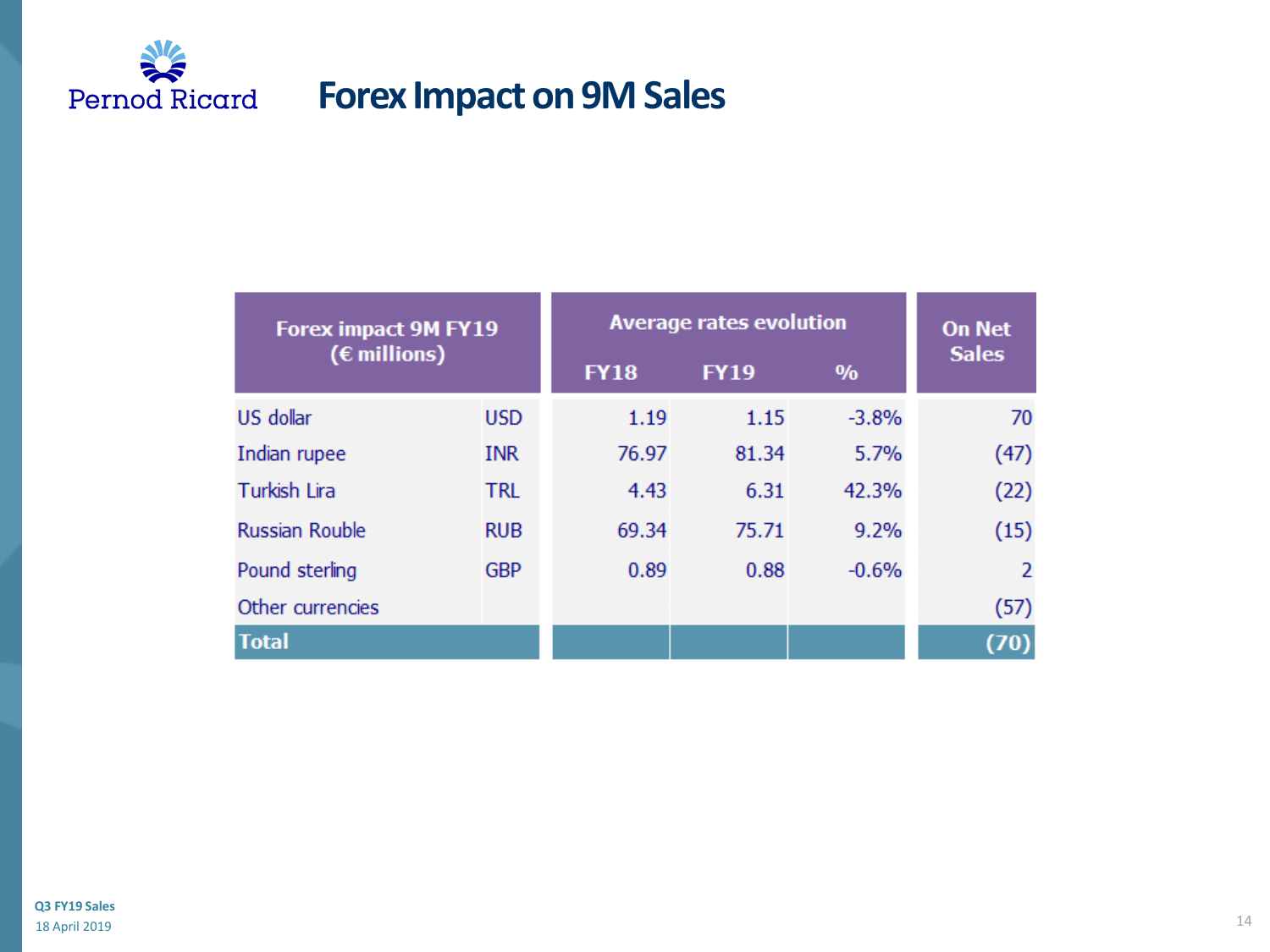

## **Forex Impact on 9M Sales**

| <b>Forex impact 9M FY19</b> | <b>Average rates evolution</b> | <b>On Net</b> |               |              |                |
|-----------------------------|--------------------------------|---------------|---------------|--------------|----------------|
| $(\epsilon$ millions)       | <b>FY18</b>                    | <b>FY19</b>   | $\frac{9}{0}$ | <b>Sales</b> |                |
| US dollar                   | <b>USD</b>                     | 1.19          | 1.15          | $-3.8%$      | 70             |
| Indian rupee                | <b>INR</b>                     | 76.97         | 81.34         | 5.7%         | (47)           |
| <b>Turkish Lira</b>         | <b>TRL</b>                     | 4.43          | 6.31          | 42.3%        | (22)           |
| <b>Russian Rouble</b>       | <b>RUB</b>                     | 69.34         | 75.71         | 9.2%         | (15)           |
| Pound sterling              | <b>GBP</b>                     | 0.89          | 0.88          | $-0.6%$      | $\overline{2}$ |
| Other currencies            |                                |               |               |              | (57)           |
| <b>Total</b>                |                                |               |               |              | (70)           |